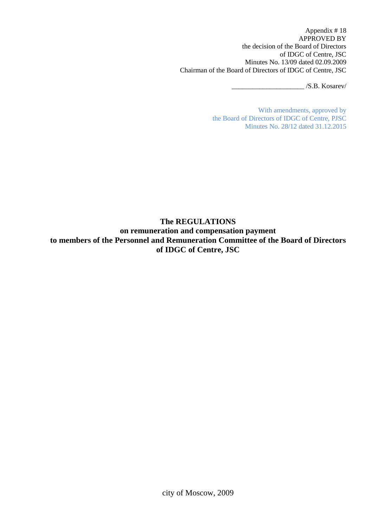Appendix # 18 APPROVED BY the decision of the Board of Directors of IDGC of Centre, JSC Minutes No. 13/09 dated 02.09.2009 Chairman of the Board of Directors of IDGC of Centre, JSC

 $/S.B.$  Kosarev/

With amendments, approved by the Board of Directors of IDGC of Centre, PJSC Minutes No. 28/12 dated 31.12.2015

## **The REGULATIONS**

**on remuneration and compensation payment to members of the Personnel and Remuneration Committee of the Board of Directors of IDGC of Centre, JSC**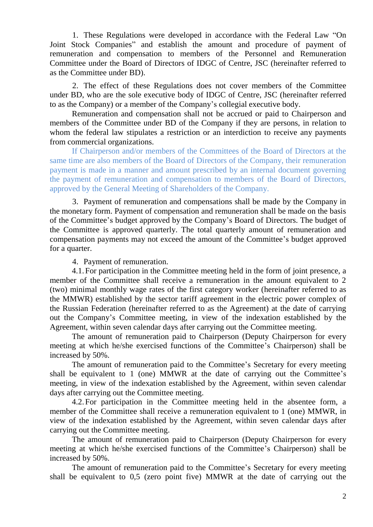1. These Regulations were developed in accordance with the Federal Law "On Joint Stock Companies" and establish the amount and procedure of payment of remuneration and compensation to members of the Personnel and Remuneration Committee under the Board of Directors of IDGC of Centre, JSC (hereinafter referred to as the Committee under BD).

2. The effect of these Regulations does not cover members of the Committee under BD, who are the sole executive body of IDGC of Centre, JSC (hereinafter referred to as the Company) or a member of the Company's collegial executive body.

Remuneration and compensation shall not be accrued or paid to Chairperson and members of the Committee under BD of the Company if they are persons, in relation to whom the federal law stipulates a restriction or an interdiction to receive any payments from commercial organizations.

If Chairperson and/or members of the Committees of the Board of Directors at the same time are also members of the Board of Directors of the Company, their remuneration payment is made in a manner and amount prescribed by an internal document governing the payment of remuneration and compensation to members of the Board of Directors, approved by the General Meeting of Shareholders of the Company.

3. Payment of remuneration and compensations shall be made by the Company in the monetary form. Payment of compensation and remuneration shall be made on the basis of the Committee's budget approved by the Company's Board of Directors. The budget of the Committee is approved quarterly. The total quarterly amount of remuneration and compensation payments may not exceed the amount of the Committee's budget approved for a quarter.

4. Payment of remuneration.

4.1.For participation in the Committee meeting held in the form of joint presence, a member of the Committee shall receive a remuneration in the amount equivalent to 2 (two) minimal monthly wage rates of the first category worker (hereinafter referred to as the MMWR) established by the sector tariff agreement in the electric power complex of the Russian Federation (hereinafter referred to as the Agreement) at the date of carrying out the Company's Committee meeting, in view of the indexation established by the Agreement, within seven calendar days after carrying out the Committee meeting.

The amount of remuneration paid to Chairperson (Deputy Chairperson for every meeting at which he/she exercised functions of the Committee's Chairperson) shall be increased by 50%.

The amount of remuneration paid to the Committee's Secretary for every meeting shall be equivalent to 1 (one) MMWR at the date of carrying out the Committee's meeting, in view of the indexation established by the Agreement, within seven calendar days after carrying out the Committee meeting.

4.2.For participation in the Committee meeting held in the absentee form, a member of the Committee shall receive a remuneration equivalent to 1 (one) MMWR, in view of the indexation established by the Agreement, within seven calendar days after carrying out the Committee meeting.

The amount of remuneration paid to Chairperson (Deputy Chairperson for every meeting at which he/she exercised functions of the Committee's Chairperson) shall be increased by 50%.

The amount of remuneration paid to the Committee's Secretary for every meeting shall be equivalent to 0,5 (zero point five) MMWR at the date of carrying out the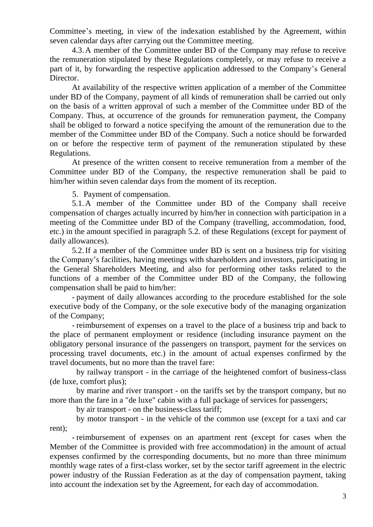Committee's meeting, in view of the indexation established by the Agreement, within seven calendar days after carrying out the Committee meeting.

4.3.A member of the Committee under BD of the Company may refuse to receive the remuneration stipulated by these Regulations completely, or may refuse to receive a part of it, by forwarding the respective application addressed to the Company's General Director.

At availability of the respective written application of a member of the Committee under BD of the Company, payment of all kinds of remuneration shall be carried out only on the basis of a written approval of such a member of the Committee under BD of the Company. Thus, at occurrence of the grounds for remuneration payment, the Company shall be obliged to forward a notice specifying the amount of the remuneration due to the member of the Committee under BD of the Company. Such a notice should be forwarded on or before the respective term of payment of the remuneration stipulated by these Regulations.

At presence of the written consent to receive remuneration from a member of the Committee under BD of the Company, the respective remuneration shall be paid to him/her within seven calendar days from the moment of its reception.

5. Payment of compensation.

5.1.A member of the Committee under BD of the Company shall receive compensation of charges actually incurred by him/her in connection with participation in a meeting of the Committee under BD of the Company (travelling, accommodation, food, etc.) in the amount specified in paragraph 5.2. of these Regulations (except for payment of daily allowances).

5.2.If a member of the Committee under BD is sent on a business trip for visiting the Company's facilities, having meetings with shareholders and investors, participating in the General Shareholders Meeting, and also for performing other tasks related to the functions of a member of the Committee under BD of the Company, the following compensation shall be paid to him/her:

- payment of daily allowances according to the procedure established for the sole executive body of the Company, or the sole executive body of the managing organization of the Company;

- reimbursement of expenses on a travel to the place of a business trip and back to the place of permanent employment or residence (including insurance payment on the obligatory personal insurance of the passengers on transport, payment for the services on processing travel documents, etc.) in the amount of actual expenses confirmed by the travel documents, but no more than the travel fare:

by railway transport - in the carriage of the heightened comfort of business-class (de luxe, comfort plus);

by marine and river transport - on the tariffs set by the transport company, but no more than the fare in a "de luxe" cabin with a full package of services for passengers;

by air transport - on the business-class tariff;

by motor transport - in the vehicle of the common use (except for a taxi and car rent);

- reimbursement of expenses on an apartment rent (except for cases when the Member of the Committee is provided with free accommodation) in the amount of actual expenses confirmed by the corresponding documents, but no more than three minimum monthly wage rates of a first-class worker, set by the sector tariff agreement in the electric power industry of the Russian Federation as at the day of compensation payment, taking into account the indexation set by the Agreement, for each day of accommodation.